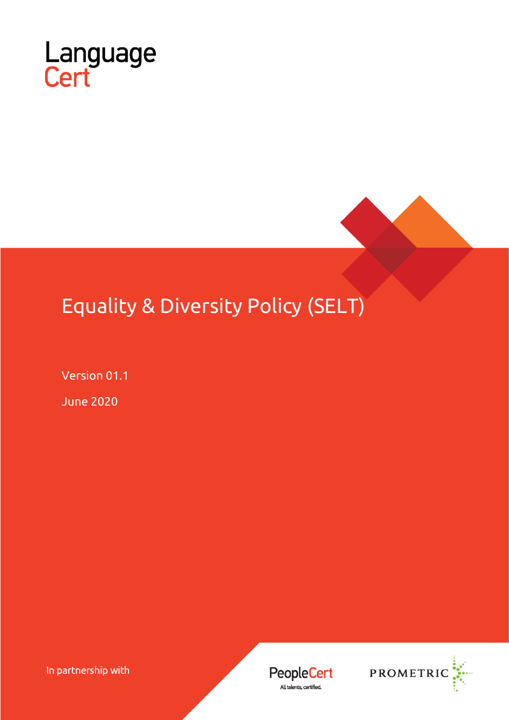

# Equality & Diversity Policy (SELT)

Version 01.1

June 2020

In partnership with

**PeopleCert** All talents, certified.

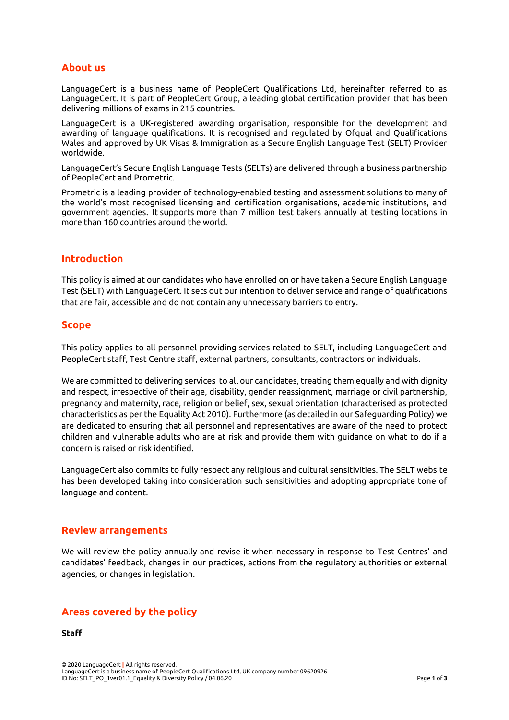# **About us**

LanguageCert is a business name of PeopleCert Qualifications Ltd, hereinafter referred to as LanguageCert. It is part of PeopleCert Group, a leading global certification provider that has been delivering millions of exams in 215 countries.

LanguageCert is a UK-registered awarding organisation, responsible for the development and awarding of language qualifications. It is recognised and regulated by Ofqual and Qualifications Wales and approved by UK Visas & Immigration as a Secure English Language Test (SELT) Provider worldwide.

LanguageCert's Secure English Language Tests (SELTs) are delivered through a business partnership of PeopleCert and Prometric.

Prometric is a leading provider of technology-enabled testing and assessment solutions to many of the world's most recognised licensing and certification organisations, academic institutions, and government agencies. It supports more than 7 million test takers annually at testing locations in more than 160 countries around the world.

## **Introduction**

This policy is aimed at our candidates who have enrolled on or have taken a Secure English Language Test (SELT) with LanguageCert. It sets out our intention to deliver service and range of qualifications that are fair, accessible and do not contain any unnecessary barriers to entry.

## **Scope**

This policy applies to all personnel providing services related to SELT, including LanguageCert and PeopleCert staff, Test Centre staff, external partners, consultants, contractors or individuals.

We are committed to delivering services to all our candidates, treating them equally and with dignity and respect, irrespective of their age, disability, gender reassignment, marriage or civil partnership, pregnancy and maternity, race, religion or belief, sex, sexual orientation (characterised as protected characteristics as per the Equality Act 2010). Furthermore (as detailed in our Safeguarding Policy) we are dedicated to ensuring that all personnel and representatives are aware of the need to protect children and vulnerable adults who are at risk and provide them with guidance on what to do if a concern is raised or risk identified.

LanguageCert also commits to fully respect any religious and cultural sensitivities. The SELT website has been developed taking into consideration such sensitivities and adopting appropriate tone of language and content.

## **Review arrangements**

We will review the policy annually and revise it when necessary in response to Test Centres' and candidates' feedback, changes in our practices, actions from the regulatory authorities or external agencies, or changes in legislation.

## **Areas covered by the policy**

**Staff**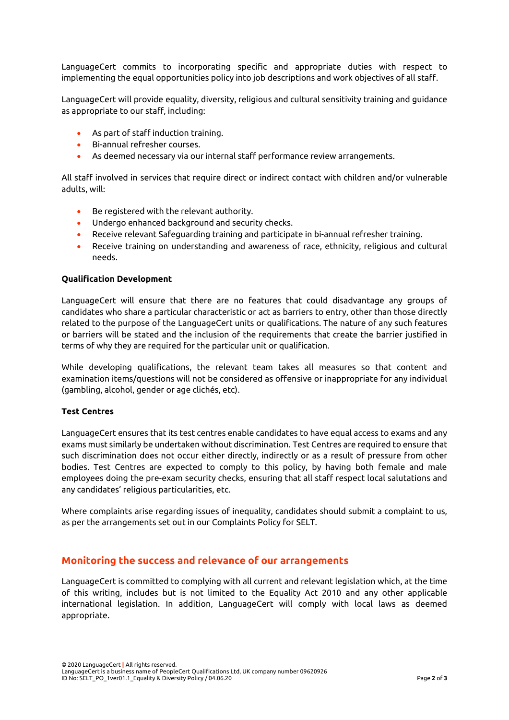LanguageCert commits to incorporating specific and appropriate duties with respect to implementing the equal opportunities policy into job descriptions and work objectives of all staff.

LanguageCert will provide equality, diversity, religious and cultural sensitivity training and guidance as appropriate to our staff, including:

- As part of staff induction training.
- Bi-annual refresher courses.
- As deemed necessary via our internal staff performance review arrangements.

All staff involved in services that require direct or indirect contact with children and/or vulnerable adults, will:

- Be registered with the relevant authority.
- Undergo enhanced background and security checks.
- Receive relevant Safeguarding training and participate in bi-annual refresher training.
- Receive training on understanding and awareness of race, ethnicity, religious and cultural needs.

#### **Qualification Development**

LanguageCert will ensure that there are no features that could disadvantage any groups of candidates who share a particular characteristic or act as barriers to entry, other than those directly related to the purpose of the LanguageCert units or qualifications. The nature of any such features or barriers will be stated and the inclusion of the requirements that create the barrier justified in terms of why they are required for the particular unit or qualification.

While developing qualifications, the relevant team takes all measures so that content and examination items/questions will not be considered as offensive or inappropriate for any individual (gambling, alcohol, gender or age clichés, etc).

#### **Test Centres**

LanguageCert ensures that its test centres enable candidates to have equal access to exams and any exams must similarly be undertaken without discrimination. Test Centres are required to ensure that such discrimination does not occur either directly, indirectly or as a result of pressure from other bodies. Test Centres are expected to comply to this policy, by having both female and male employees doing the pre-exam security checks, ensuring that all staff respect local salutations and any candidates' religious particularities, etc.

Where complaints arise regarding issues of inequality, candidates should submit a complaint to us, as per the arrangements set out in our Complaints Policy for SELT.

## **Monitoring the success and relevance of our arrangements**

LanguageCert is committed to complying with all current and relevant legislation which, at the time of this writing, includes but is not limited to the Equality Act 2010 and any other applicable international legislation. In addition, LanguageCert will comply with local laws as deemed appropriate.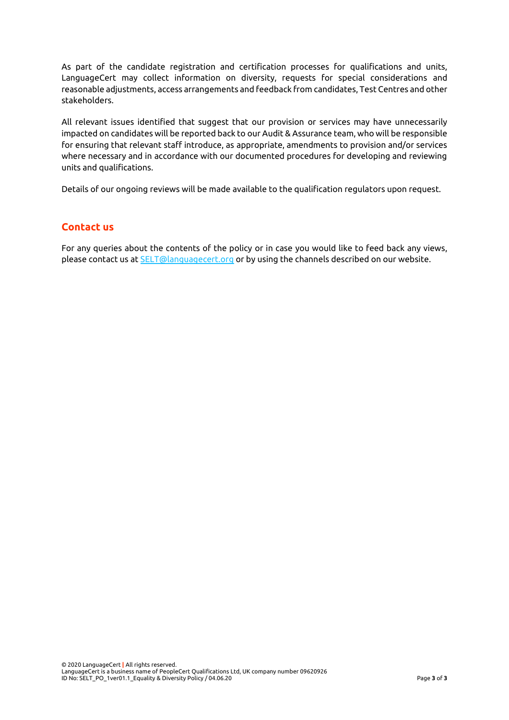As part of the candidate registration and certification processes for qualifications and units, LanguageCert may collect information on diversity, requests for special considerations and reasonable adjustments, access arrangements and feedback from candidates, Test Centres and other stakeholders.

All relevant issues identified that suggest that our provision or services may have unnecessarily impacted on candidates will be reported back to our Audit & Assurance team, who will be responsible for ensuring that relevant staff introduce, as appropriate, amendments to provision and/or services where necessary and in accordance with our documented procedures for developing and reviewing units and qualifications.

Details of our ongoing reviews will be made available to the qualification regulators upon request.

## **Contact us**

For any queries about the contents of the policy or in case you would like to feed back any views, please contact us at **SELT@languagecert.org** or by using the channels described on our website.